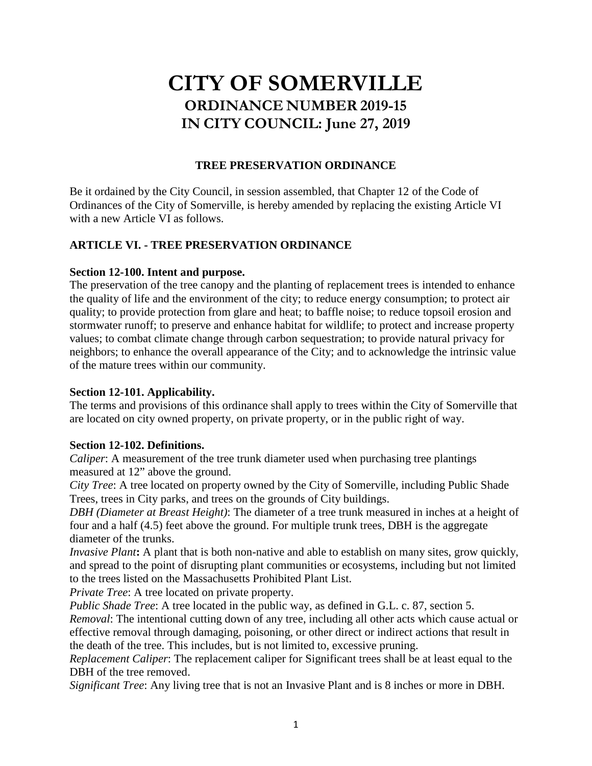# **CITY OF SOMERVILLE ORDINANCE NUMBER 2019-15 IN CITY COUNCIL: June 27, 2019**

# **TREE PRESERVATION ORDINANCE**

Be it ordained by the City Council, in session assembled, that Chapter 12 of the Code of Ordinances of the City of Somerville, is hereby amended by replacing the existing Article VI with a new Article VI as follows.

# **ARTICLE VI. - TREE PRESERVATION ORDINANCE**

# **Section 12-100. Intent and purpose.**

The preservation of the tree canopy and the planting of replacement trees is intended to enhance the quality of life and the environment of the city; to reduce energy consumption; to protect air quality; to provide protection from glare and heat; to baffle noise; to reduce topsoil erosion and stormwater runoff; to preserve and enhance habitat for wildlife; to protect and increase property values; to combat climate change through carbon sequestration; to provide natural privacy for neighbors; to enhance the overall appearance of the City; and to acknowledge the intrinsic value of the mature trees within our community.

# **Section 12-101. Applicability.**

The terms and provisions of this ordinance shall apply to trees within the City of Somerville that are located on city owned property, on private property, or in the public right of way.

# **Section 12-102. Definitions.**

*Caliper*: A measurement of the tree trunk diameter used when purchasing tree plantings measured at 12" above the ground.

*City Tree*: A tree located on property owned by the City of Somerville, including Public Shade Trees, trees in City parks, and trees on the grounds of City buildings.

*DBH (Diameter at Breast Height)*: The diameter of a tree trunk measured in inches at a height of four and a half (4.5) feet above the ground. For multiple trunk trees, DBH is the aggregate diameter of the trunks.

*Invasive Plant***:** A plant that is both non-native and able to establish on many sites, grow quickly, and spread to the point of disrupting plant communities or ecosystems, including but not limited to the trees listed on the Massachusetts Prohibited Plant List.

*Private Tree*: A tree located on private property.

*Public Shade Tree*: A tree located in the public way, as defined in G.L. c. 87, section 5.

*Removal*: The intentional cutting down of any tree, including all other acts which cause actual or effective removal through damaging, poisoning, or other direct or indirect actions that result in the death of the tree. This includes, but is not limited to, excessive pruning.

*Replacement Caliper*: The replacement caliper for Significant trees shall be at least equal to the DBH of the tree removed.

*Significant Tree*: Any living tree that is not an Invasive Plant and is 8 inches or more in DBH.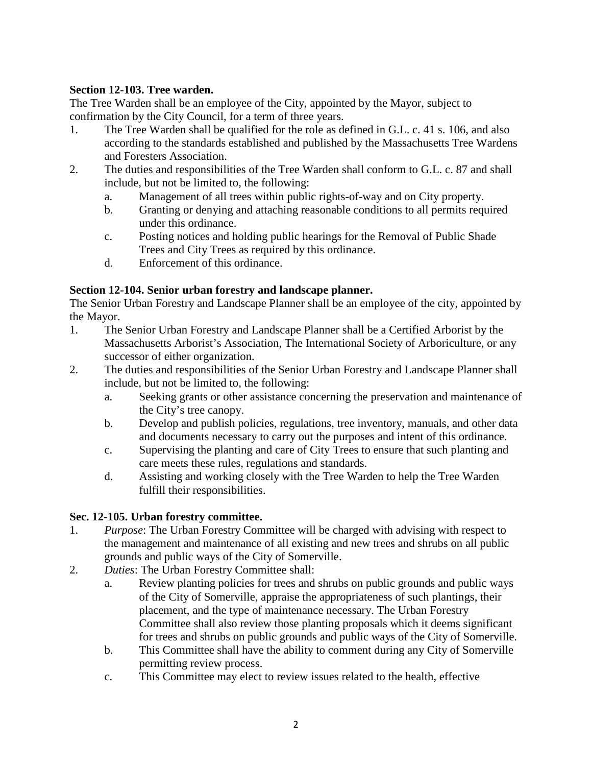# **Section 12-103. Tree warden.**

The Tree Warden shall be an employee of the City, appointed by the Mayor, subject to confirmation by the City Council, for a term of three years.

- 1. The Tree Warden shall be qualified for the role as defined in G.L. c. 41 s. 106, and also according to the standards established and published by the Massachusetts Tree Wardens and Foresters Association.
- 2. The duties and responsibilities of the Tree Warden shall conform to G.L. c. 87 and shall include, but not be limited to, the following:
	- a. Management of all trees within public rights-of-way and on City property.
	- b. Granting or denying and attaching reasonable conditions to all permits required under this ordinance.
	- c. Posting notices and holding public hearings for the Removal of Public Shade Trees and City Trees as required by this ordinance.
	- d. Enforcement of this ordinance.

# **Section 12-104. Senior urban forestry and landscape planner.**

The Senior Urban Forestry and Landscape Planner shall be an employee of the city, appointed by the Mayor.

- 1. The Senior Urban Forestry and Landscape Planner shall be a Certified Arborist by the Massachusetts Arborist's Association, The International Society of Arboriculture, or any successor of either organization.
- 2. The duties and responsibilities of the Senior Urban Forestry and Landscape Planner shall include, but not be limited to, the following:
	- a. Seeking grants or other assistance concerning the preservation and maintenance of the City's tree canopy.
	- b. Develop and publish policies, regulations, tree inventory, manuals, and other data and documents necessary to carry out the purposes and intent of this ordinance.
	- c. Supervising the planting and care of City Trees to ensure that such planting and care meets these rules, regulations and standards.
	- d. Assisting and working closely with the Tree Warden to help the Tree Warden fulfill their responsibilities.

# **Sec. 12-105. Urban forestry committee.**

- 1. *Purpose*: The Urban Forestry Committee will be charged with advising with respect to the management and maintenance of all existing and new trees and shrubs on all public grounds and public ways of the City of Somerville.
- 2. *Duties*: The Urban Forestry Committee shall:
	- a. Review planting policies for trees and shrubs on public grounds and public ways of the City of Somerville, appraise the appropriateness of such plantings, their placement, and the type of maintenance necessary. The Urban Forestry Committee shall also review those planting proposals which it deems significant for trees and shrubs on public grounds and public ways of the City of Somerville.
	- b. This Committee shall have the ability to comment during any City of Somerville permitting review process.
	- c. This Committee may elect to review issues related to the health, effective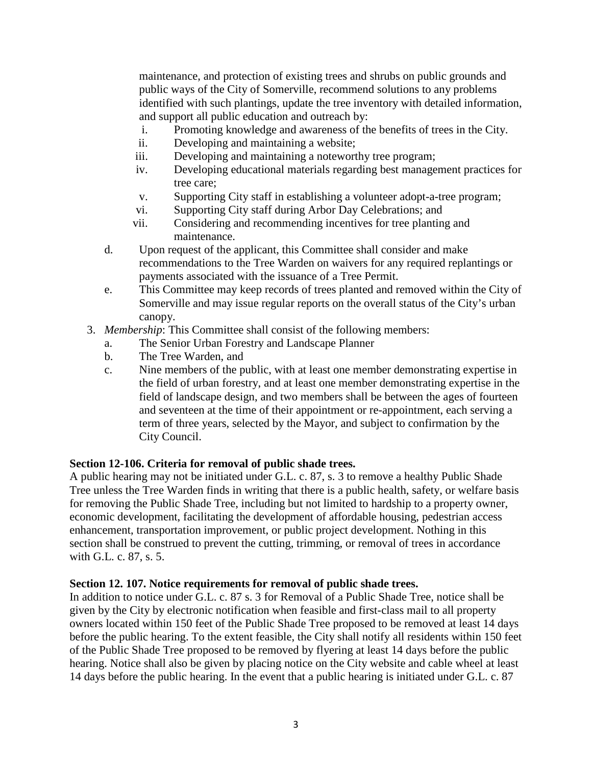maintenance, and protection of existing trees and shrubs on public grounds and public ways of the City of Somerville, recommend solutions to any problems identified with such plantings, update the tree inventory with detailed information, and support all public education and outreach by:

- i. Promoting knowledge and awareness of the benefits of trees in the City.
- ii. Developing and maintaining a website;
- iii. Developing and maintaining a noteworthy tree program;
- iv. Developing educational materials regarding best management practices for tree care;
- v. Supporting City staff in establishing a volunteer adopt-a-tree program;
- vi. Supporting City staff during Arbor Day Celebrations; and
- vii. Considering and recommending incentives for tree planting and maintenance.
- d. Upon request of the applicant, this Committee shall consider and make recommendations to the Tree Warden on waivers for any required replantings or payments associated with the issuance of a Tree Permit.
- e. This Committee may keep records of trees planted and removed within the City of Somerville and may issue regular reports on the overall status of the City's urban canopy.
- 3. *Membership*: This Committee shall consist of the following members:
	- a. The Senior Urban Forestry and Landscape Planner
	- b. The Tree Warden, and
	- c. Nine members of the public, with at least one member demonstrating expertise in the field of urban forestry, and at least one member demonstrating expertise in the field of landscape design, and two members shall be between the ages of fourteen and seventeen at the time of their appointment or re-appointment, each serving a term of three years, selected by the Mayor, and subject to confirmation by the City Council.

#### **Section 12-106. Criteria for removal of public shade trees.**

A public hearing may not be initiated under G.L. c. 87, s. 3 to remove a healthy Public Shade Tree unless the Tree Warden finds in writing that there is a public health, safety, or welfare basis for removing the Public Shade Tree, including but not limited to hardship to a property owner, economic development, facilitating the development of affordable housing, pedestrian access enhancement, transportation improvement, or public project development. Nothing in this section shall be construed to prevent the cutting, trimming, or removal of trees in accordance with G.L. c. 87, s. 5.

#### **Section 12. 107. Notice requirements for removal of public shade trees.**

In addition to notice under G.L. c. 87 s. 3 for Removal of a Public Shade Tree, notice shall be given by the City by electronic notification when feasible and first-class mail to all property owners located within 150 feet of the Public Shade Tree proposed to be removed at least 14 days before the public hearing. To the extent feasible, the City shall notify all residents within 150 feet of the Public Shade Tree proposed to be removed by flyering at least 14 days before the public hearing. Notice shall also be given by placing notice on the City website and cable wheel at least 14 days before the public hearing. In the event that a public hearing is initiated under G.L. c. 87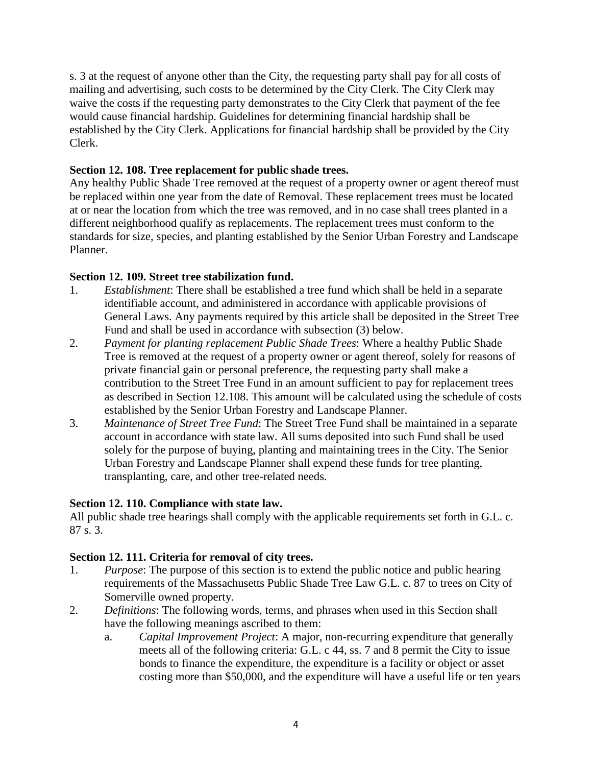s. 3 at the request of anyone other than the City, the requesting party shall pay for all costs of mailing and advertising, such costs to be determined by the City Clerk. The City Clerk may waive the costs if the requesting party demonstrates to the City Clerk that payment of the fee would cause financial hardship. Guidelines for determining financial hardship shall be established by the City Clerk. Applications for financial hardship shall be provided by the City Clerk.

# **Section 12. 108. Tree replacement for public shade trees.**

Any healthy Public Shade Tree removed at the request of a property owner or agent thereof must be replaced within one year from the date of Removal. These replacement trees must be located at or near the location from which the tree was removed, and in no case shall trees planted in a different neighborhood qualify as replacements. The replacement trees must conform to the standards for size, species, and planting established by the Senior Urban Forestry and Landscape Planner.

# **Section 12. 109. Street tree stabilization fund.**

- 1. *Establishment*: There shall be established a tree fund which shall be held in a separate identifiable account, and administered in accordance with applicable provisions of General Laws. Any payments required by this article shall be deposited in the Street Tree Fund and shall be used in accordance with subsection (3) below.
- 2. *Payment for planting replacement Public Shade Trees*: Where a healthy Public Shade Tree is removed at the request of a property owner or agent thereof, solely for reasons of private financial gain or personal preference, the requesting party shall make a contribution to the Street Tree Fund in an amount sufficient to pay for replacement trees as described in Section 12.108. This amount will be calculated using the schedule of costs established by the Senior Urban Forestry and Landscape Planner.
- 3. *Maintenance of Street Tree Fund*: The Street Tree Fund shall be maintained in a separate account in accordance with state law. All sums deposited into such Fund shall be used solely for the purpose of buying, planting and maintaining trees in the City. The Senior Urban Forestry and Landscape Planner shall expend these funds for tree planting, transplanting, care, and other tree-related needs.

# **Section 12. 110. Compliance with state law.**

All public shade tree hearings shall comply with the applicable requirements set forth in G.L. c. 87 s. 3.

# **Section 12. 111. Criteria for removal of city trees.**

- 1. *Purpose*: The purpose of this section is to extend the public notice and public hearing requirements of the Massachusetts Public Shade Tree Law G.L. c. 87 to trees on City of Somerville owned property.
- 2. *Definitions*: The following words, terms, and phrases when used in this Section shall have the following meanings ascribed to them:
	- a. *Capital Improvement Project*: A major, non-recurring expenditure that generally meets all of the following criteria: G.L. c 44, ss. 7 and 8 permit the City to issue bonds to finance the expenditure, the expenditure is a facility or object or asset costing more than \$50,000, and the expenditure will have a useful life or ten years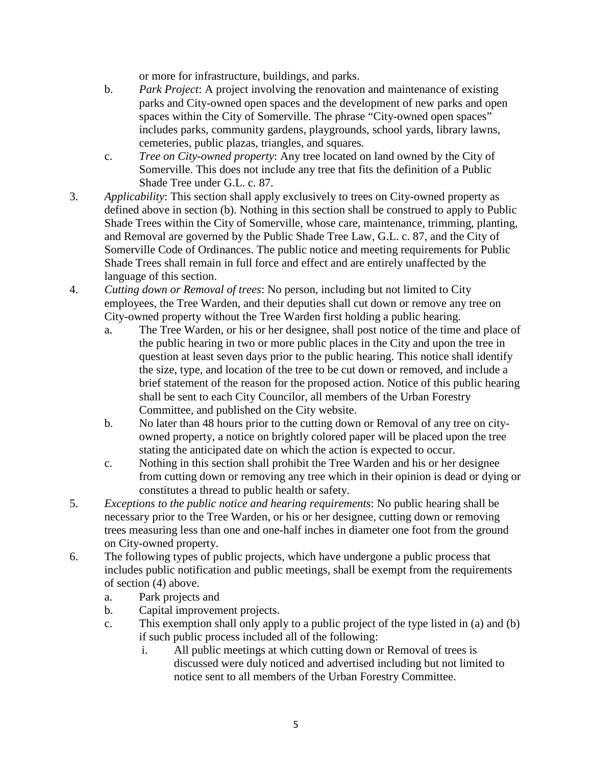or more for infrastructure, buildings, and parks.

- b. *Park Project*: A project involving the renovation and maintenance of existing parks and City-owned open spaces and the development of new parks and open spaces within the City of Somerville. The phrase "City-owned open spaces" includes parks, community gardens, playgrounds, school yards, library lawns, cemeteries, public plazas, triangles, and squares.
- c. *Tree on City-owned property*: Any tree located on land owned by the City of Somerville. This does not include any tree that fits the definition of a Public Shade Tree under G.L. c. 87.
- 3. *Applicability*: This section shall apply exclusively to trees on City-owned property as defined above in section (b). Nothing in this section shall be construed to apply to Public Shade Trees within the City of Somerville, whose care, maintenance, trimming, planting, and Removal are governed by the Public Shade Tree Law, G.L. c. 87, and the City of Somerville Code of Ordinances. The public notice and meeting requirements for Public Shade Trees shall remain in full force and effect and are entirely unaffected by the language of this section.
- 4. *Cutting down or Removal of trees*: No person, including but not limited to City employees, the Tree Warden, and their deputies shall cut down or remove any tree on City-owned property without the Tree Warden first holding a public hearing.
	- a. The Tree Warden, or his or her designee, shall post notice of the time and place of the public hearing in two or more public places in the City and upon the tree in question at least seven days prior to the public hearing. This notice shall identify the size, type, and location of the tree to be cut down or removed, and include a brief statement of the reason for the proposed action. Notice of this public hearing shall be sent to each City Councilor, all members of the Urban Forestry Committee, and published on the City website.
	- b. No later than 48 hours prior to the cutting down or Removal of any tree on cityowned property, a notice on brightly colored paper will be placed upon the tree stating the anticipated date on which the action is expected to occur.
	- c. Nothing in this section shall prohibit the Tree Warden and his or her designee from cutting down or removing any tree which in their opinion is dead or dying or constitutes a thread to public health or safety.
- 5. *Exceptions to the public notice and hearing requirements*: No public hearing shall be necessary prior to the Tree Warden, or his or her designee, cutting down or removing trees measuring less than one and one-half inches in diameter one foot from the ground on City-owned property.
- 6. The following types of public projects, which have undergone a public process that includes public notification and public meetings, shall be exempt from the requirements of section (4) above.
	- a. Park projects and
	- b. Capital improvement projects.
	- c. This exemption shall only apply to a public project of the type listed in (a) and (b) if such public process included all of the following:
		- i. All public meetings at which cutting down or Removal of trees is discussed were duly noticed and advertised including but not limited to notice sent to all members of the Urban Forestry Committee.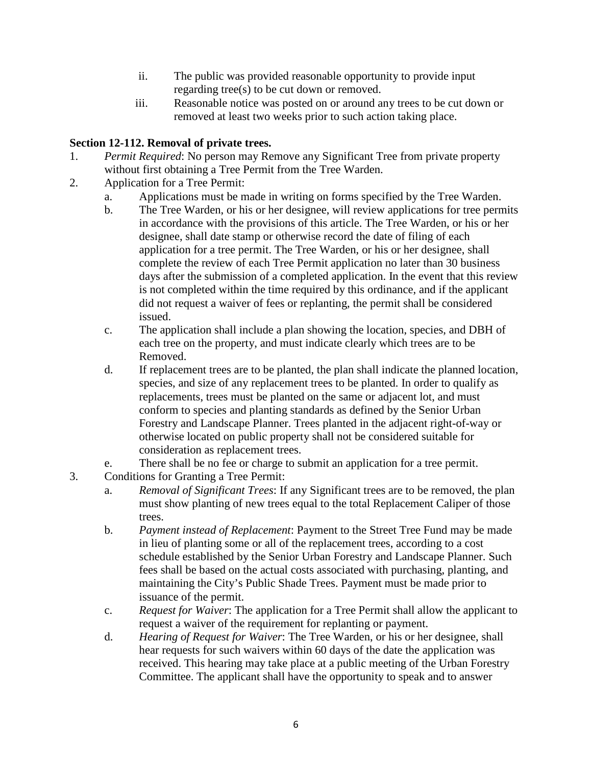- ii. The public was provided reasonable opportunity to provide input regarding tree(s) to be cut down or removed.
- iii. Reasonable notice was posted on or around any trees to be cut down or removed at least two weeks prior to such action taking place.

# **Section 12-112. Removal of private trees.**

- 1. *Permit Required*: No person may Remove any Significant Tree from private property without first obtaining a Tree Permit from the Tree Warden.
- 2. Application for a Tree Permit:
	- a. Applications must be made in writing on forms specified by the Tree Warden.
	- b. The Tree Warden, or his or her designee, will review applications for tree permits in accordance with the provisions of this article. The Tree Warden, or his or her designee, shall date stamp or otherwise record the date of filing of each application for a tree permit. The Tree Warden, or his or her designee, shall complete the review of each Tree Permit application no later than 30 business days after the submission of a completed application. In the event that this review is not completed within the time required by this ordinance, and if the applicant did not request a waiver of fees or replanting, the permit shall be considered issued.
	- c. The application shall include a plan showing the location, species, and DBH of each tree on the property, and must indicate clearly which trees are to be Removed.
	- d. If replacement trees are to be planted, the plan shall indicate the planned location, species, and size of any replacement trees to be planted. In order to qualify as replacements, trees must be planted on the same or adjacent lot, and must conform to species and planting standards as defined by the Senior Urban Forestry and Landscape Planner. Trees planted in the adjacent right-of-way or otherwise located on public property shall not be considered suitable for consideration as replacement trees.
	- e. There shall be no fee or charge to submit an application for a tree permit.
- 3. Conditions for Granting a Tree Permit:
	- a. *Removal of Significant Trees*: If any Significant trees are to be removed, the plan must show planting of new trees equal to the total Replacement Caliper of those trees.
	- b. *Payment instead of Replacement*: Payment to the Street Tree Fund may be made in lieu of planting some or all of the replacement trees, according to a cost schedule established by the Senior Urban Forestry and Landscape Planner. Such fees shall be based on the actual costs associated with purchasing, planting, and maintaining the City's Public Shade Trees. Payment must be made prior to issuance of the permit.
	- c. *Request for Waiver*: The application for a Tree Permit shall allow the applicant to request a waiver of the requirement for replanting or payment.
	- d. *Hearing of Request for Waiver*: The Tree Warden, or his or her designee, shall hear requests for such waivers within 60 days of the date the application was received. This hearing may take place at a public meeting of the Urban Forestry Committee. The applicant shall have the opportunity to speak and to answer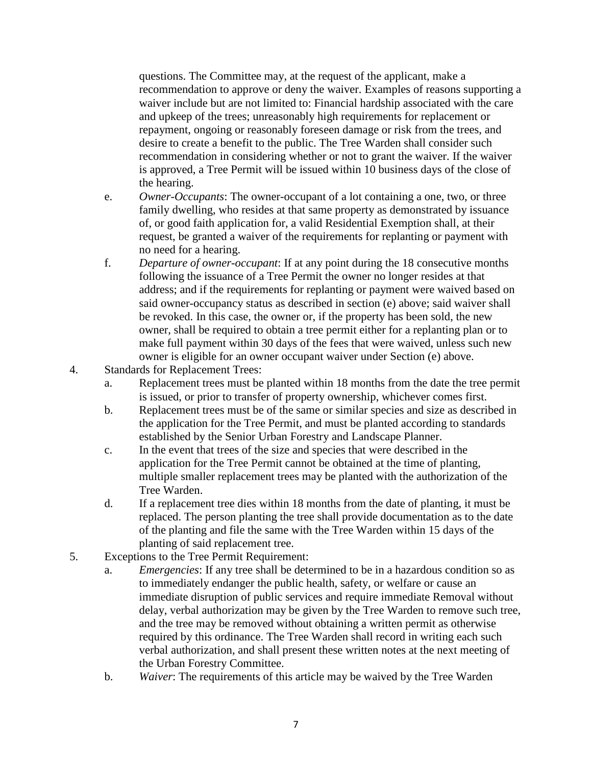questions. The Committee may, at the request of the applicant, make a recommendation to approve or deny the waiver. Examples of reasons supporting a waiver include but are not limited to: Financial hardship associated with the care and upkeep of the trees; unreasonably high requirements for replacement or repayment, ongoing or reasonably foreseen damage or risk from the trees, and desire to create a benefit to the public. The Tree Warden shall consider such recommendation in considering whether or not to grant the waiver. If the waiver is approved, a Tree Permit will be issued within 10 business days of the close of the hearing.

- e. *Owner-Occupants*: The owner-occupant of a lot containing a one, two, or three family dwelling, who resides at that same property as demonstrated by issuance of, or good faith application for, a valid Residential Exemption shall, at their request, be granted a waiver of the requirements for replanting or payment with no need for a hearing.
- f. *Departure of owner-occupant*: If at any point during the 18 consecutive months following the issuance of a Tree Permit the owner no longer resides at that address; and if the requirements for replanting or payment were waived based on said owner-occupancy status as described in section (e) above; said waiver shall be revoked. In this case, the owner or, if the property has been sold, the new owner, shall be required to obtain a tree permit either for a replanting plan or to make full payment within 30 days of the fees that were waived, unless such new owner is eligible for an owner occupant waiver under Section (e) above.
- 4. Standards for Replacement Trees:
	- a. Replacement trees must be planted within 18 months from the date the tree permit is issued, or prior to transfer of property ownership, whichever comes first.
	- b. Replacement trees must be of the same or similar species and size as described in the application for the Tree Permit, and must be planted according to standards established by the Senior Urban Forestry and Landscape Planner.
	- c. In the event that trees of the size and species that were described in the application for the Tree Permit cannot be obtained at the time of planting, multiple smaller replacement trees may be planted with the authorization of the Tree Warden.
	- d. If a replacement tree dies within 18 months from the date of planting, it must be replaced. The person planting the tree shall provide documentation as to the date of the planting and file the same with the Tree Warden within 15 days of the planting of said replacement tree.
- 5. Exceptions to the Tree Permit Requirement:
	- a. *Emergencies*: If any tree shall be determined to be in a hazardous condition so as to immediately endanger the public health, safety, or welfare or cause an immediate disruption of public services and require immediate Removal without delay, verbal authorization may be given by the Tree Warden to remove such tree, and the tree may be removed without obtaining a written permit as otherwise required by this ordinance. The Tree Warden shall record in writing each such verbal authorization, and shall present these written notes at the next meeting of the Urban Forestry Committee.
	- b. *Waiver*: The requirements of this article may be waived by the Tree Warden